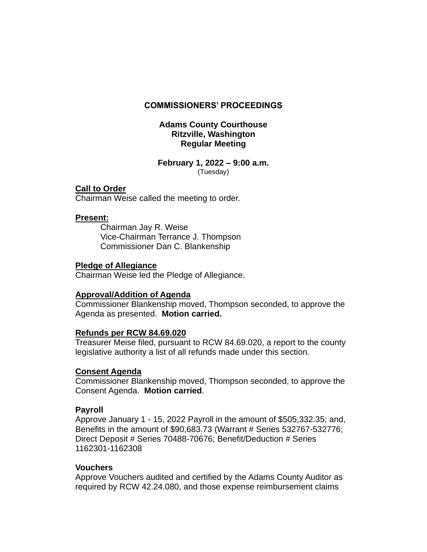# **COMMISSIONERS' PROCEEDINGS**

# **Adams County Courthouse Ritzville, Washington Regular Meeting**

#### **February 1, 2022 – 9:00 a.m.** (Tuesday)

# **Call to Order**

Chairman Weise called the meeting to order.

# **Present:**

Chairman Jay R. Weise Vice-Chairman Terrance J. Thompson Commissioner Dan C. Blankenship

## **Pledge of Allegiance**

Chairman Weise led the Pledge of Allegiance.

# **Approval/Addition of Agenda**

Commissioner Blankenship moved, Thompson seconded, to approve the Agenda as presented. **Motion carried.**

## **Refunds per RCW 84.69.020**

Treasurer Meise filed, pursuant to RCW 84.69.020, a report to the county legislative authority a list of all refunds made under this section.

## **Consent Agenda**

Commissioner Blankenship moved, Thompson seconded, to approve the Consent Agenda. **Motion carried**.

# **Payroll**

Approve January 1 - 15, 2022 Payroll in the amount of \$505,332.35; and, Benefits in the amount of \$90,683.73 (Warrant # Series 532767-532776; Direct Deposit # Series 70488-70676; Benefit/Deduction # Series 1162301-1162308

## **Vouchers**

Approve Vouchers audited and certified by the Adams County Auditor as required by RCW 42.24.080, and those expense reimbursement claims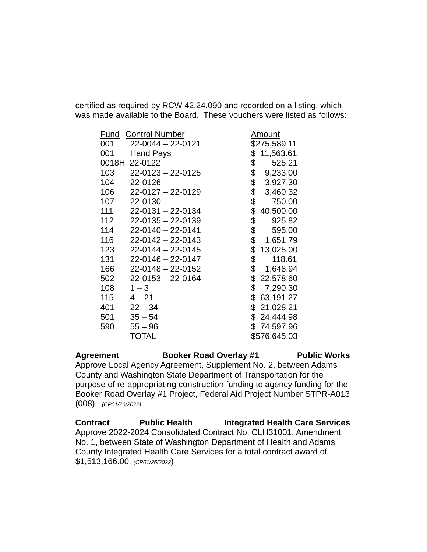certified as required by RCW 42.24.090 and recorded on a listing, which was made available to the Board. These vouchers were listed as follows:

| Fund          | <b>Control Number</b>   | Amount          |
|---------------|-------------------------|-----------------|
| 001           | 22-0044 - 22-0121       | \$275,589.11    |
| 001           | <b>Hand Pays</b>        | \$<br>11,563.61 |
| 0018H 22-0122 |                         | \$<br>525.21    |
| 103           | $22 - 0123 - 22 - 0125$ | \$<br>9,233.00  |
| 104           | 22-0126                 | \$<br>3,927.30  |
| 106           | $22 - 0127 - 22 - 0129$ | \$<br>3,460.32  |
| 107           | 22-0130                 | \$<br>750.00    |
| 111           | 22-0131 - 22-0134       | \$<br>40,500.00 |
| 112           | $22 - 0135 - 22 - 0139$ | \$<br>925.82    |
| 114           | $22 - 0140 - 22 - 0141$ | \$<br>595.00    |
| 116           | $22 - 0142 - 22 - 0143$ | \$<br>1,651.79  |
| 123           | $22 - 0144 - 22 - 0145$ | \$<br>13,025.00 |
| 131           | $22 - 0146 - 22 - 0147$ | \$<br>118.61    |
| 166           | 22-0148 - 22-0152       | \$<br>1,648.94  |
| 502           | $22 - 0153 - 22 - 0164$ | \$<br>22,578.60 |
| 108           | $1 - 3$                 | \$<br>7,290.30  |
| 115           | $4 - 21$                | \$<br>63,191.27 |
| 401           | $22 - 34$               | \$21,028.21     |
| 501           | $35 - 54$               | \$24,444.98     |
| 590           | $55 - 96$               | \$74,597.96     |
|               | TOTAL                   | \$576,645.03    |

**Agreement Booker Road Overlay #1 Public Works** Approve Local Agency Agreement, Supplement No. 2, between Adams County and Washington State Department of Transportation for the purpose of re-appropriating construction funding to agency funding for the Booker Road Overlay #1 Project, Federal Aid Project Number STPR-A013 (008). *(CP01/26/2022)*

**Contract Public Health Integrated Health Care Services** Approve 2022-2024 Consolidated Contract No. CLH31001, Amendment No. 1, between State of Washington Department of Health and Adams County Integrated Health Care Services for a total contract award of \$1,513,166.00. *(CP01/26/2022*)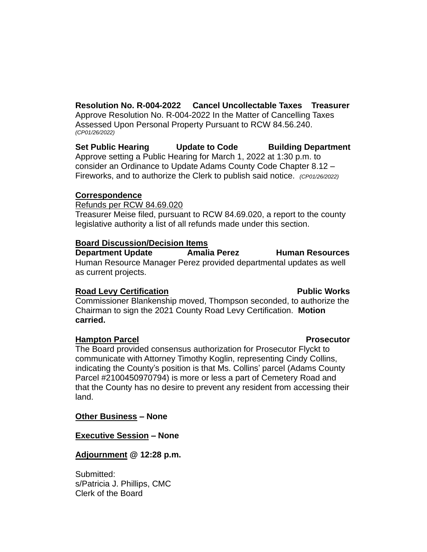**Resolution No. R-004-2022 Cancel Uncollectable Taxes Treasurer** Approve Resolution No. R-004-2022 In the Matter of Cancelling Taxes Assessed Upon Personal Property Pursuant to RCW 84.56.240. *(CP01/26/2022)*

Set Public Hearing Update to Code Building Department Approve setting a Public Hearing for March 1, 2022 at 1:30 p.m. to consider an Ordinance to Update Adams County Code Chapter 8.12 – Fireworks, and to authorize the Clerk to publish said notice. *(CP01/26/2022)*

## **Correspondence**

Refunds per RCW 84.69.020

Treasurer Meise filed, pursuant to RCW 84.69.020, a report to the county legislative authority a list of all refunds made under this section.

## **Board Discussion/Decision Items**

**Department Update Amalia Perez Human Resources** Human Resource Manager Perez provided departmental updates as well as current projects.

## **Road Levy Certification Community Community Road Levy Certification Community Community Public Works**

Commissioner Blankenship moved, Thompson seconded, to authorize the Chairman to sign the 2021 County Road Levy Certification. **Motion carried.**

## **Hampton Parcel Prosecutor**

The Board provided consensus authorization for Prosecutor Flyckt to communicate with Attorney Timothy Koglin, representing Cindy Collins, indicating the County's position is that Ms. Collins' parcel (Adams County Parcel #2100450970794) is more or less a part of Cemetery Road and that the County has no desire to prevent any resident from accessing their land.

## **Other Business – None**

## **Executive Session – None**

## **Adjournment @ 12:28 p.m.**

Submitted: s/Patricia J. Phillips, CMC Clerk of the Board